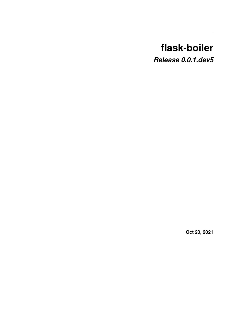# **flask-boiler**

*Release 0.0.1.dev5*

**Oct 20, 2021**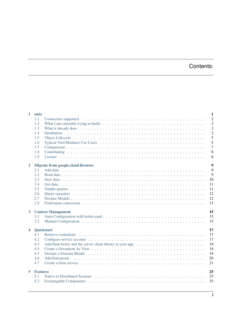# Contents:

| $\mathbf{1}$         | onto            |                                                                                                                           | 1              |
|----------------------|-----------------|---------------------------------------------------------------------------------------------------------------------------|----------------|
|                      | 1.1             |                                                                                                                           | $\overline{2}$ |
|                      | 1.2             | What I am currently trying to build $\ldots \ldots \ldots \ldots \ldots \ldots \ldots \ldots \ldots \ldots \ldots \ldots$ | $\overline{c}$ |
|                      | 1.3             |                                                                                                                           | $\overline{c}$ |
|                      | 1.4             |                                                                                                                           | $\overline{c}$ |
|                      | 1.5             |                                                                                                                           | 5              |
|                      | 1.6             |                                                                                                                           | 5              |
|                      | 1.7             |                                                                                                                           | $\overline{7}$ |
|                      | 1.8             |                                                                                                                           | 8              |
|                      | 1.9             |                                                                                                                           | 8              |
| $\mathbf{2}$         |                 | Migrate from google.cloud.firestore                                                                                       | $\overline{9}$ |
|                      | 2.1             |                                                                                                                           | 9              |
|                      | 2.2             |                                                                                                                           | 9              |
|                      | 2.3             | 10                                                                                                                        |                |
|                      | 2.4             | 11                                                                                                                        |                |
|                      | 2.5             | 11                                                                                                                        |                |
|                      | 2.6             | 12                                                                                                                        |                |
|                      | 2.7             | 12                                                                                                                        |                |
|                      | 2.8             | 13                                                                                                                        |                |
|                      |                 |                                                                                                                           |                |
| $\mathbf{3}$         |                 | <b>Context Management</b><br>15                                                                                           |                |
|                      | 3.1             | 15                                                                                                                        |                |
|                      | 3.2             | 15                                                                                                                        |                |
| $\blacktriangleleft$ |                 | 17<br><b>Quickstart</b>                                                                                                   |                |
|                      |                 |                                                                                                                           |                |
|                      | 4.1             | 17                                                                                                                        |                |
|                      | 4.2             | 17                                                                                                                        |                |
|                      | 4.3             | 18                                                                                                                        |                |
|                      | 4.4             | 18                                                                                                                        |                |
|                      | 4.5             | 19                                                                                                                        |                |
|                      | 4.6             | 20                                                                                                                        |                |
|                      | 4.7             | 21                                                                                                                        |                |
| 5                    | <b>Features</b> | 25                                                                                                                        |                |
|                      | 5.1             | 25                                                                                                                        |                |
|                      | 5.2             | 25                                                                                                                        |                |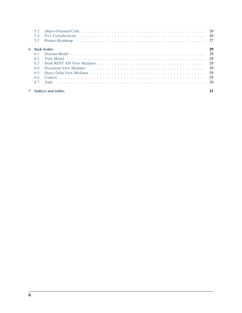| 5.3<br>54<br>5.5 |                             |    |
|------------------|-----------------------------|----|
|                  | 6 flask-boiler              | 29 |
|                  |                             |    |
| 62               |                             |    |
| 6.3              |                             |    |
| 64               |                             |    |
| 6.5              |                             |    |
| 6.6              |                             |    |
| 6.7              |                             |    |
|                  | <b>7</b> Indices and tables | 31 |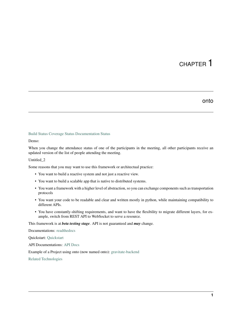#### onto

#### <span id="page-4-0"></span>[Build Status](https://travis-ci.com/billyrrr/flask-boiler) [Coverage Status](https://coveralls.io/github/billyrrr/flask-boiler?branch=master) [Documentation Status](https://flask-boiler.readthedocs.io/en/latest/?badge=latest)

#### Demo:

When you change the attendance status of one of the participants in the meeting, all other participants receive an updated version of the list of people attending the meeting.

#### Untitled\_2

Some reasons that you may want to use this framework or architectual practice:

- You want to build a reactive system and not just a reactive view.
- You want to build a scalable app that is native to distributed systems.
- You want a framework with a higher level of abstraction, so you can exchange components such as transportation protocols
- You want your code to be readable and clear and written mostly in python, while maintaining compatibility to different APIs.
- You have constantly-shifting requirements, and want to have the flexibility to migrate different layers, for example, switch from REST API to WebSocket to serve a resource.

This framework is at *beta testing stage*. API is not guaranteed and *may* change.

Documentations: [readthedocs](https://flask-boiler.readthedocs.io/)

Quickstart: [Quickstart](https://flask-boiler.readthedocs.io/en/latest/quickstart_link.html)

API Documentations: [API Docs](https://flask-boiler.readthedocs.io/en/latest/apidoc/flask_boiler.html)

Example of a Project using onto (now named onto): [gravitate-backend](https://github.com/billyrrr/gravitate-backend)

[Related Technologies](https://medium.baqend.com/real-time-databases-explained-why-meteor-rethinkdb-parse-and-firebase-dont-scale-822ff87d2f87)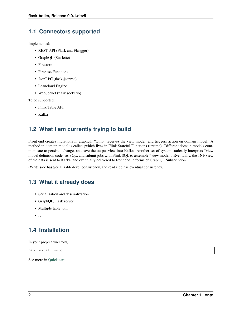# <span id="page-5-0"></span>**1.1 Connectors supported**

Implemented:

- REST API (Flask and Flasgger)
- GraphQL (Starlette)
- Firestore
- Firebase Functions
- JsonRPC (flask-jsonrpc)
- Leancloud Engine
- WebSocket (flask socketio)

To be supported:

- Flink Table API
- Kafka

# <span id="page-5-1"></span>**1.2 What I am currently trying to build**

Front end creates mutations in graphql. "Onto" receives the view model, and triggers action on domain model. A method in domain model is called (which lives in Flink Stateful Functions runtime). Different domain models communicate to persist a change, and save the output view into Kafka. Another set of system statically interprets "view model definition code" as SQL, and submit jobs with Flink SQL to assemble "view model". Eventually, the 1NF view of the data is sent to Kafka, and eventually delivered to front end in forms of GraphQL Subscription.

(Write side has Serializable-level consistency, and read side has eventual consistency)

# <span id="page-5-2"></span>**1.3 What it already does**

- Serialization and deserialization
- GraphQL/Flask server
- Multiple table join
- $\bullet$  ...

# <span id="page-5-3"></span>**1.4 Installation**

In your project directory,

pip install onto

See more in [Quickstart.](https://onto.readthedocs.io/en/latest/quickstart_link.html)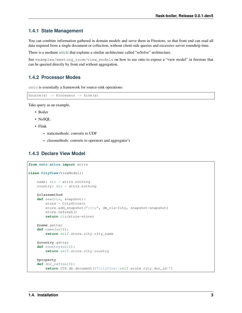#### **1.4.1 State Management**

You can combine information gathered in domain models and serve them in Firestore, so that front end can read all data required from a single document or collection, without client-side queries and excessive server roundtrip time.

There is a medium [article](https://medium.com/resolvejs/resolve-redux-backend-ebcfc79bbbea) that explains a similar architecture called "reSolve" architecture.

See examples/meeting\_room/view\_models on how to use onto to expose a "view model" in firestore that can be queried directly by front end without aggregation.

#### **1.4.2 Processor Modes**

onto is essentially a framework for source-sink operations:

```
Source(s) \rightarrow Processor \rightarrow Sink(s)
```
Take query as an example,

- Boiler
- NoSOL
- Flink
	- staticmethods: converts to UDF
	- classmethods: converts to operators and aggregator's

#### **1.4.3 Declare View Model**

```
from onto.attrs import attrs
class CityView(ViewModel):
    name: str = attrs.nothing
   country: str = attrs.nothing
    @classmethod
    def new(cls, snapshot):
       store = CityStore()
       store.add_snapshot("city", dm_cls=City, snapshot=snapshot)
        store.refresh()
        return cls(store=store)
    @name.getter
    def name(self):
        return self.store.city.city_name
    @country.getter
    def country(self):
        return self.store.city.country
    @property
    def doc_ref(self):
        return CTX.db.document(f"cityView/{self.store.city.doc_id}")
```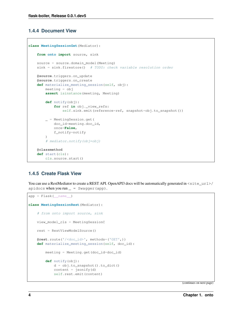#### **1.4.4 Document View**

```
class MeetingSessionGet(Mediator):
   from onto import source, sink
   source = source.domain_model(Meeting)
   sink = sink.firestore() # TODO: check variable resolution order
   @source.triggers.on_update
   @source.triggers.on_create
   def materialize_meeting_session(self, obj):
       meeting = obj
        assert isinstance(meeting, Meeting)
       def notify(obj):
            for ref in obj._view_refs:
                self.sink.emit(reference=ref, snapshot=obj.to_snapshot())
        _ = MeetingSession.get(
           doc_id=meeting.doc_id,
            once=False,
           f_notify=notify
        )
        # mediator.notify(obj=obj)
    @classmethod
   def start(cls):
        cls.source.start()
```
### **1.4.5 Create Flask View**

You can use a RestMediator to create a REST API. OpenAPI3 docs will be automatically generated in <site\_url>/ apidocs when you run  $=$   $Swagger(app)$ .

```
app = Flask(\text{name})class MeetingSessionRest(Mediator):
    # from onto import source, sink
   view_model_cls = MeetingSessionC
   rest = RestViewModelSource()
    @rest.route('/<doc_id>', methods=('GET',))
    def materialize_meeting_session(self, doc_id):
        meeting = Meeting.get(doc_id=doc_id)
        def notify(obj):
            d = obj.to_snapshot().to_dict()
            content = jsonify(d)self.rest.emit(content)
```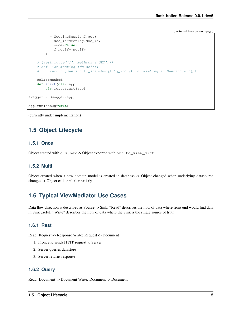```
_ = MeetingSessionC.get(
           doc_id=meeting.doc_id,
            once=False,
            f_notify=notify
        \lambda# @rest.route('/', methods=('GET',))
    # def list_meeting_ids(self):
    # return [meeting.to_snapshot().to_dict() for meeting in Meeting.all()]
   @classmethod
   def start(cls, app):
       cls.rest.start(app)
swager = Swager(ap)app.run(debug=True)
```
(currently under implementation)

# <span id="page-8-0"></span>**1.5 Object Lifecycle**

#### **1.5.1 Once**

Object created with cls.new -> Object exported with obj.to\_view\_dict.

#### **1.5.2 Multi**

Object created when a new domain model is created in database -> Object changed when underlying datasource changes -> Object calls self.notify

## <span id="page-8-1"></span>**1.6 Typical ViewMediator Use Cases**

Data flow direction is described as Source -> Sink. "Read" describes the flow of data where front end would find data in Sink useful. "Write" describes the flow of data where the Sink is the single source of truth.

#### **1.6.1 Rest**

Read: Request -> Response Write: Request -> Document

- 1. Front end sends HTTP request to Server
- 2. Server queries datastore
- 3. Server returns response

#### **1.6.2 Query**

Read: Document -> Document Write: Document -> Document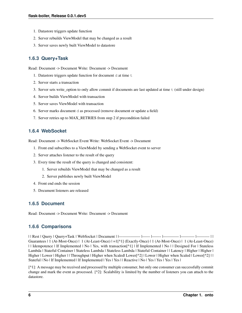- 1. Datastore triggers update function
- 2. Server rebuilds ViewModel that may be changed as a result
- 3. Server saves newly built ViewModel to datastore

### **1.6.3 Query+Task**

Read: Document -> Document Write: Document -> Document

- 1. Datastore triggers update function for document d at time  $t$
- 2. Server starts a transaction
- 3. Server sets write\_option to only allow commit if documents are last updated at time t (still under design)
- 4. Server builds ViewModel with transaction
- 5. Server saves ViewModel with transaction
- 6. Server marks document d as processed (remove document or update a field)
- 7. Server retries up to MAX\_RETRIES from step 2 if precondition failed

#### **1.6.4 WebSocket**

Read: Document -> WebSocket Event Write: WebSocket Event -> Document

- 1. Front end subscribes to a ViewModel by sending a WebSocket event to server
- 2. Server attaches listener to the result of the query
- 3. Every time the result of the query is changed and consistent:
	- 1. Server rebuilds ViewModel that may be changed as a result
	- 2. Server publishes newly built ViewModel
- 4. Front end ends the session
- 5. Document listeners are released

#### **1.6.5 Document**

Read: Document -> Document Write: Document -> Document

#### **1.6.6 Comparisons**

| | Rest | Query | Query+Task | WebSocket | Document | |—————– |—— |——- |———— |———– |———- | | Guarantees | 1 (At-Most-Once) | 1 (At-Least-Once) | =  $1^{\lceil \Delta \rceil}$  (Exactly-Once) | 1 (At-Most-Once) | 1 (At-Least-Once) | | Idempotence | If Implemented | No | Yes, with transaction[^1] | If Implemented | No | | Designed For | Stateless Lambda | Stateful Container | Stateless Lambda | Stateless Lambda | Stateful Container | | Latency | Higher | Higher | Higher | Lower | Higher | | Throughput | Higher when Scaled| Lower[^2] | Lower | Higher when Scaled | Lower[^2] | | Stateful | No | If Implemented | If Implemented | Yes | Yes | | Reactive | No | Yes | Yes | Yes | Yes | Yes

[^1]: A message may be received and processed by multiple consumer, but only one consumer can successfully commit change and mark the event as processed. [^2]: Scalability is limited by the number of listeners you can attach to the datastore.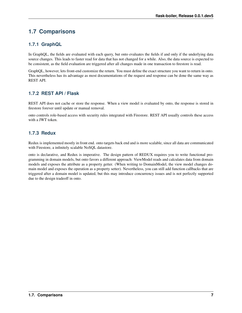# <span id="page-10-0"></span>**1.7 Comparisons**

## **1.7.1 GraphQL**

In GraphQL, the fields are evaluated with each query, but onto evaluates the fields if and only if the underlying data source changes. This leads to faster read for data that has not changed for a while. Also, the data source is expected to be consistent, as the field evaluation are triggered after all changes made in one transaction to firestore is read.

GraphQL, however, lets front-end customize the return. You must define the exact structure you want to return in onto. This nevertheless has its advantage as most documentations of the request and response can be done the same way as REST API.

### **1.7.2 REST API / Flask**

REST API does not cache or store the response. When a view model is evaluated by onto, the response is stored in firestore forever until update or manual removal.

onto controls role-based access with security rules integrated with Firestore. REST API usually controls these access with a JWT token.

#### **1.7.3 Redux**

Redux is implemented mostly in front end. onto targets back end and is more scalable, since all data are communicated with Firestore, a infinitely scalable NoSQL datastore.

onto is declarative, and Redux is imperative. The design pattern of REDUX requires you to write functional programming in domain models, but onto favors a different approach: ViewModel reads and calculates data from domain models and exposes the attribute as a property getter. (When writing to DomainModel, the view model changes domain model and exposes the operation as a property setter). Nevertheless, you can still add function callbacks that are triggered after a domain model is updated, but this may introduce concurrency issues and is not perfectly supported due to the design tradeoff in onto.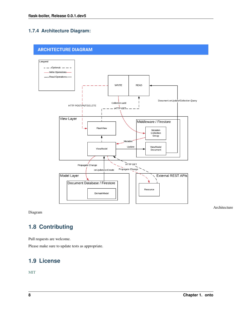## **1.7.4 Architecture Diagram:**

## **ARCHITECTURE DIAGRAM**



Diagram

Architecture

# <span id="page-11-0"></span>**1.8 Contributing**

Pull requests are welcome.

Please make sure to update tests as appropriate.

# <span id="page-11-1"></span>**1.9 License**

[MIT](https://choosealicense.com/licenses/mit/)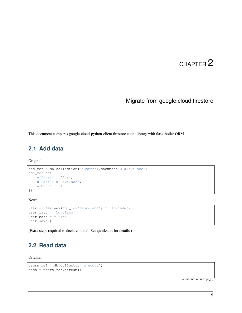# Migrate from google.cloud.firestore

<span id="page-12-0"></span>This document compares google-cloud-python-client firestore client library with flask-boiler ORM.

# <span id="page-12-1"></span>**2.1 Add data**

Original:

```
doc_ref = db.collection(u'users').document(u'alovelace')
doc_ref.set({
   u'first': u'Ada',
   u'last': u'Lovelace',
   u'born': 1815
})
```
New:

```
user = User.new(doc_id="alovelace", first='Ada')
user.last = 'Lovelace'
user.born = "1815"user.save()
```
(Extra steps required to declare model. See quickstart for details.)

# <span id="page-12-2"></span>**2.2 Read data**

Original:

```
users_ref = db.collection(u'users')
docs = users_ref.stream()
```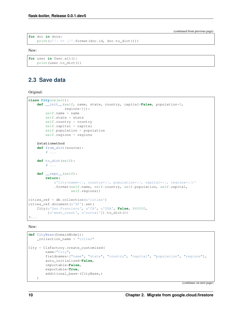```
for doc in docs:
   print(u'{} => {}'.format(doc.id, doc.to_dict()))
```
New:

```
for user in User.all():
   print(user.to_dict())
```
# <span id="page-13-0"></span>**2.3 Save data**

Original:

```
class City(object):
   def __init__(self, name, state, country, capital=False, population=0,
                regions=[]):
       self.name = name
       self.state = state
        self.country = country
       self.capital = capital
       self.population = population
       self.regions = regions
   @staticmethod
   def from_dict(source):
        # ...
   def to_dict(self):
       # ...
   def __repr__(self):
       return(
           u'City(name={}, country={}, population={}, capital={}, regions={})'
            .format(self.name, self.country, self.population, self.capital,
                    self.regions))
cities_ref = db.collection(u'cities')
cities_ref.document(u'SF').set(
   City(u'San Francisco', u'CA', u'USA', False, 860000,
         [u'west_coast', u'norcal']).to_dict())
#...
```
New:

```
def CityBase(DomainModel):
   _collection_name = "cities"
City = ClsFactory.create_customized(
        name="City",
        fieldnames=["name", "state", "country", "capital", "population", "regions"],
        auto_initialized=False,
        importable=False,
        exportable=True,
        additional_base=(CityBase,)
    )
```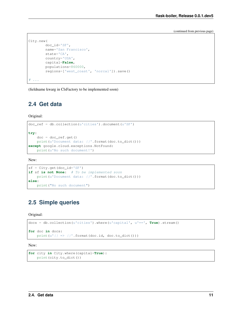```
City.new(
        doc_id='SF',
        name='San Francisco',
        state='CA',
        country='USA',
        capital=False,
        populations=860000,
        regions=['west_coast', 'norcal']).save()
\# ...
```
(fieldname kwarg in ClsFactory to be implemented soon)

### <span id="page-14-0"></span>**2.4 Get data**

Original:

```
doc_ref = db.collection(u'cities').document(u'SF')
try:
   doc = doc_ref.get()print(u'Document data: {}'.format(doc.to_dict()))
except google.cloud.exceptions.NotFound:
   print(u'No such document!')
```
New:

```
sf = City.get(doc_id='SF')if sf is not None: # To be implemented soon
   print(u'Document data: {}'.format(doc.to_dict()))
else:
   print("No such document")
```
# <span id="page-14-1"></span>**2.5 Simple queries**

Original:

```
docs = db.collection(u'cities').where(u'capital', u'==', True).stream()
for doc in docs:
    print(u'{} => {}'.format(doc.id, doc.to_dict()))
```
New:

```
for city in City.where(capital=True):
   print(city.to_dict())
```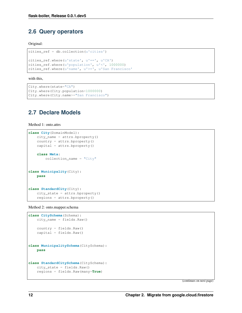## <span id="page-15-0"></span>**2.6 Query operators**

Original:

```
cities_ref = db.collection(u'cities')
cities_ref.where(u'state', u'==', u'CA')
cities_ref.where(u'population', u'<', 1000000)
cities_ref.where(u'name', u'>=', u'San Francisco'
```
with this,

```
City.where(state="CA")
City.where(City.population<1000000)
City.where(City.name>="San Francisco")
```
## <span id="page-15-1"></span>**2.7 Declare Models**

Method 1: onto.attrs

```
class City(DomainModel):
   city_name = attrs.bproperty()
   country = attrs.bproperty()
   capital = attrs.bproperty()
   class Meta:
        collection_name = "City"
class Municipality(City):
   pass
class StandardCity(City):
   city_state = attrs.bproperty()
    regions = attrs.bproperty()
```
Method 2: onto.mapper.schema

```
class CitySchema(Schema):
   city_name = fields.Raw()
   country = fields.Raw()
   capital = fields.Raw()
class MunicipalitySchema(CitySchema):
   pass
class StandardCitySchema(CitySchema):
   city_state = fields.Raw()
   regions = fields.Raw(many=True)
```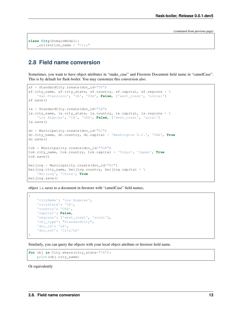```
class City(DomainModel):
   _collection_name = "City"
```
# <span id="page-16-0"></span>**2.8 Field name conversion**

Sometimes, you want to have object attributes in "snake\_case" and Firestore Document field name in "camelCase". This is by default for flask-boiler. You may customize this conversion also.

```
sf = StandardCity.create(doc_id="SF")
sf.city_name, sf.city_state, sf.country, sf.capital, sf.regions = \setminus'San Francisco', 'CA', 'USA', False, ['west_coast', 'norcal']
sf.save()
la = StandardCity.create(doc_id="LA")
la.city_name, la.city_state, la.country, la.capital, la.regions = \setminus'Los Angeles', 'CA', 'USA', False, ['west_coast', 'socal']
la.save()
dc = Municipality.create(doc_id="DC")
dc.city_name, dc.country, dc.capital = 'Washington D.C.', 'USA', True
dc.save()
tok = Municipality.create(doc_id="TOK")
tok.city_name, tok.country, tok.capital = 'Tokyo', 'Japan', True
tok.save()
beijing = Municipality.create(doc_id="BJ")
beijing.city_name, beijing.country, beijing.capital = \setminus'Beijing', 'China', True
beijing.save()
```
object la saves to a document in firestore with "camelCase" field names,

```
{
   'cityName': 'Los Angeles',
   'cityState': 'CA',
    'country': 'USA',
   'capital': False,
   'regions': ['west_coast', 'socal'],
   'obj_type': "StandardCity",
   'doc_id': 'LA',
    'doc_ref': 'City/LA'
}
```
Similarly, you can query the objects with your local object attribute or firestore field name.

```
for obj in City.where(city_state="CA"):
    print(obj.city_name)
```
Or equivalently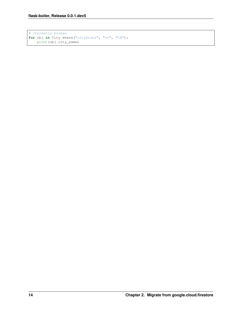```
# Currently broken
for obj in City.where("cityState", "==", "CA"):
   print(obj.city_name)
```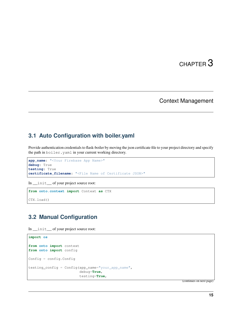# Context Management

## <span id="page-18-1"></span><span id="page-18-0"></span>**3.1 Auto Configuration with boiler.yaml**

Provide authentication credentials to flask-boiler by moving the json certificate file to your project directory and specify the path in boiler.yaml in your current working directory.

```
app_name: "<Your Firebase App Name>"
debug: True
testing: True
certificate_filename: "<File Name of Certificate JSON>"
```
In \_\_init\_\_ of your project source root:

```
from onto.context import Context as CTX
CTX.load()
```
# <span id="page-18-2"></span>**3.2 Manual Configuration**

In \_\_init\_\_ of your project source root:

```
import os
from onto import context
from onto import config
Config = config.Config
testing_config = Config(app_name="your_app_name",
                        debug=True,
                        testing=True,
```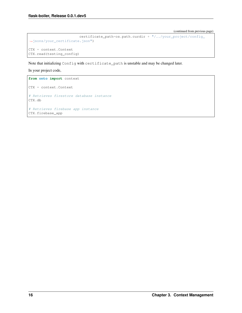```
certificate_path=os.path.curdir + "/../your_project/config_
˓→jsons/your_certificate.json")
CTX = context.Context
CTX.read(testing_config)
```
Note that initializing Config with certificate\_path is unstable and may be changed later.

In your project code,

```
from onto import context
CTX = context.Context
# Retrieves firestore database instance
CTX.db
# Retrieves firebase app instance
CTX.firebase_app
```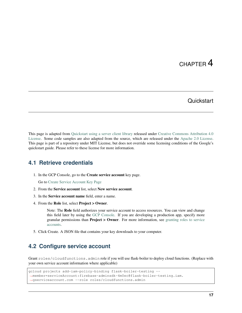## **Quickstart**

<span id="page-20-0"></span>This page is adapted from [Quickstart using a server client library](https://cloud.google.com/firestore/docs/quickstart-servers) released under [Creative Commons Attribution 4.0](https://creativecommons.org/licenses/by/4.0/) [License.](https://creativecommons.org/licenses/by/4.0/) Some code samples are also adapted from the source, which are released under the [Apache 2.0 License.](https://www.apache.org/licenses/LICENSE-2.0) This page is part of a repository under MIT License, but does not override some licensing conditions of the Google's quickstart guide. Please refer to these license for more information.

## <span id="page-20-1"></span>**4.1 Retrieve credentials**

1. In the GCP Console, go to the Create service account key page.

Go to [Create Service Account Key Page](https://console.cloud.google.com/apis/credentials/serviceaccountkey?_ga=2.86663898.-378732223.1566339304)

- 2. From the Service account list, select New service account.
- 3. In the Service account name field, enter a name.
- 4. From the Role list, select Project > Owner.

Note: The Role field authorizes your service account to access resources. You can view and change this field later by using the [GCP Console.](https://console.cloud.google.com/?_ga=2.81399125.-378732223.1566339304) If you are developing a production app, specify more granular permissions than **Project > Owner**. For more information, see [granting roles to service](https://cloud.google.com/iam/docs/granting-roles-to-service-accounts) [accounts.](https://cloud.google.com/iam/docs/granting-roles-to-service-accounts)

5. Click Create. A JSON file that contains your key downloads to your computer.

# <span id="page-20-2"></span>**4.2 Configure service account**

Grant roles/cloudfunctions.admin role if you will use flask-boiler to deploy cloud functions. (Replace with your own service account information where applicable)

```
gcloud projects add-iam-policy-binding flask-boiler-testing --
˓→member=serviceAccount:firebase-adminsdk-4m0ec@flask-boiler-testing.iam.
˓→gserviceaccount.com --role roles/cloudfunctions.admin
```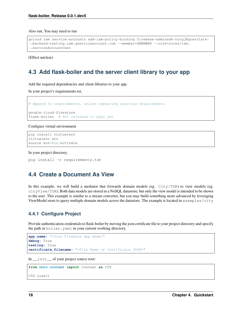Also run, You may need to run

```
gcloud iam service-accounts add-iam-policy-binding firebase-adminsdk-nztgj@gravitate-
˓→backend-testing.iam.gserviceaccount.com --member=$MEMBER --role=roles/iam.
˓→serviceAccountUser
```
(Effect unclear)

## <span id="page-21-0"></span>**4.3 Add flask-boiler and the server client library to your app**

Add the required dependencies and client libraries to your app.

In your project's requirements.txt,

```
# Append to requirements, unless repeating existing requirements
google-cloud-firestore
flask-boiler # Not released to pypi yet
```
Configure virtual environment

```
pip install virtualenv
virtualenv env
source env/bin/activate
```
In your project directory,

```
pip install -r requirements.txt
```
### <span id="page-21-1"></span>**4.4 Create a Document As View**

In this example, we will build a mediator that forwards domain models (eg. City/TOK) to view models (eg. cityView/TOK). Both data models are stored in a NoSQL datastore, but only the view model is intended to be shown to the user. This example is similar to a stream converter, but you may build something more advanced by leveraging ViewModel.store to query multiple domain models across the datastore. The example is located in examples/city

#### **4.4.1 Configure Project**

Provide authentication credentials to flask-boiler by moving the json certificate file to your project directory and specify the path in boiler.yaml in your current working directory.

```
app_name: "<Your Firebase App Name>"
debug: True
testing: True
certificate_filename: "<File Name of Certificate JSON>"
```
In \_\_init\_\_ of your project source root:

```
from onto.context import Context as CTX
```
CTX.load()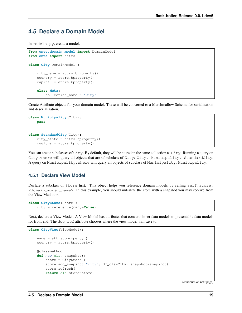## <span id="page-22-0"></span>**4.5 Declare a Domain Model**

In models.py, create a model,

```
from onto.domain_model import DomainModel
from onto import attrs
class City(DomainModel):
    city_name = attrs.bproperty()
    country = attrs.bproperty()
   capital = attrs.bproperty()class Meta:
        collection_name = "City"
```
Create Attribute objects for your domain model. These will be converted to a Marshmallow Schema for serialization and deserialization.

```
class Municipality(City):
   pass
class StandardCity(City):
    city_state = attrs.bproperty()
    regions = attrs.bproperty()
```
You can create subclasses of City. By default, they will be stored in the same collection as City. Running a query on City.where will query all objects that are of subclass of City: City, Municipality, StandardCity. A query on Municipality.where will query all objects of subclass of Municipality: Municipality.

#### **4.5.1 Declare View Model**

Declare a subclass of Store first. This object helps you reference domain models by calling self.store. <domain\_model\_name>. In this example, you should initialize the store with a snapshot you may receive from the View Mediator.

```
class CityStore(Store):
   city = reference(many=False)
```
Next, declare a View Model. A View Model has attributes that converts inner data models to presentable data models for front end. The doc\_ref attribute chooses where the view model will save to.

```
class CityView(ViewModel):
   name = attrs.bproperty()
   country = attrs.bproperty()
    @classmethod
    def new(cls, snapshot):
        store = CityStore()
        store.add_snapshot("city", dm_cls=City, snapshot=snapshot)
        store.refresh()
        return cls(store=store)
```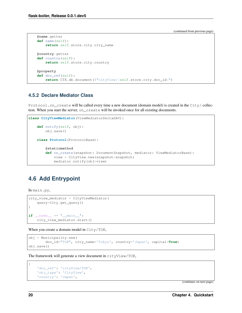```
@name.getter
def name(self):
    return self.store.city.city_name
@country.getter
def country(self):
    return self.store.city.country
@property
def doc_ref(self):
    return CTX.db.document(f"cityView/{self.store.city.doc_id}")
```
#### **4.5.2 Declare Mediator Class**

Protocol.on\_create will be called every time a new document (domain model) is created in the City/ collection. When you start the server, on\_create will be invoked once for all existing documents.

```
class CityViewMediator(ViewMediatorDeltaDAV):
   def notify(self, obj):
        obj.save()
    class Protocol(ProtocolBase):
        @staticmethod
        def on_create(snapshot: DocumentSnapshot, mediator: ViewMediatorBase):
           view = CityView.new(snapshot=snapshot)
           mediator.notify(obj=view)
```
# <span id="page-23-0"></span>**4.6 Add Entrypoint**

In main.py,

```
city_view_mediator = CityViewMediator(
   query=City.get_query()
)
if __name__ == " __main__":
   city_view_mediator.start()
```
When you create a domain model in City/TOK,

```
obj = Municipality.new(
        doc_id="TOK", city_name='Tokyo', country='Japan', capital=True)
obj.save()
```
The framework will generate a view document in cityView/TOK,

```
'doc_ref': 'cityView/TOK',
'obj_type': 'CityView',
'country': 'Japan',
```
(continues on next page)

{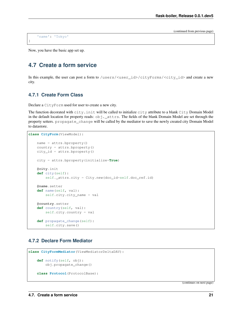'name': 'Tokyo'

}

Now, you have the basic app set up.

# <span id="page-24-0"></span>**4.7 Create a form service**

In this example, the user can post a form to /users/<user\_id>/cityForms/<city\_id> and create a new city.

#### **4.7.1 Create Form Class**

Declare a CityForm used for user to create a new city.

The function decorated with city.init will be called to initialize city attribute to a blank City Domain Model in the default location for property reads:  $obj$ .  $_{at}$ t $_{at}$ s. The fields of the blank Domain Model are set through the property setters. propagate\_change will be called by the mediator to save the newly created city Domain Model to datastore.

```
class CityForm(ViewModel):
    name = <math>attrs</math>.<i>bproperty()</i>country = attrs.bproperty()
    city_id = attrs.bproperty()
    city = attrs.bproperty(initialize=True)
    @city.init
    def city(self):
        self._attrs.city = City.new(doc_id=self.doc_ref.id)
    @name.setter
    def name(self, val):
        self.city.city_name = val
    @country.setter
    def country(self, val):
        self.city.country = val
    def propagate_change(self):
        self.city.save()
```
#### **4.7.2 Declare Form Mediator**

```
class CityFormMediator(ViewMediatorDeltaDAV):
    def notify(self, obj):
        obj.propagate_change()
    class Protocol(ProtocolBase):
```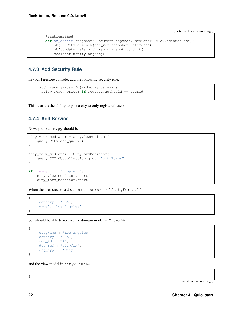```
@staticmethod
def on_create(snapshot: DocumentSnapshot, mediator: ViewMediatorBase):
    obj = CityForm.new(doc_ref=snapshot.reference)
    obj.update_vals(with_raw=snapshot.to_dict())
   mediator.notify(obj=obj)
```
### **4.7.3 Add Security Rule**

In your Firestore console, add the following security rule:

```
match /users/{userId}/{documents=**} {
  allow read, write: if request.auth.uid == userId
}
```
This restricts the ability to post a city to only registered users.

#### **4.7.4 Add Service**

Now, your main.py should be,

```
city_view_mediator = CityViewMediator(
    query=City.get_query()
)
city_form_mediator = CityFormMediator(
    query=CTX.db.collection_group("cityForms")
)
if __name__ == "__main__":
    city_view_mediator.start()
    city_form_mediator.start()
```
When the user creates a document in users/uid1/cityForms/LA,

```
'country': 'USA',
'name': 'Los Angeles'
```
you should be able to receive the domain model in City/LA,

```
'cityName': 'Los Angeles',
'country': 'USA',
'doc_id': 'LA',
'doc_ref': 'City/LA',
'obj_type': 'City'
```
and the view model in cityView/LA,

(continues on next page)

{

}

{

}

{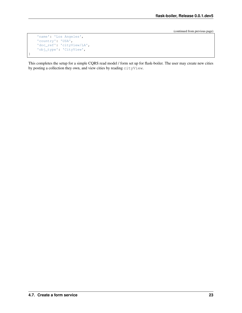```
'name': 'Los Angeles',
'country': 'USA',
'doc_ref': 'cityView/LA',
'obj_type': 'CityView',
```
}

This completes the setup for a simple CQRS read model / form set up for flask-boiler. The user may create new cities by posting a collection they own, and view cities by reading cityView.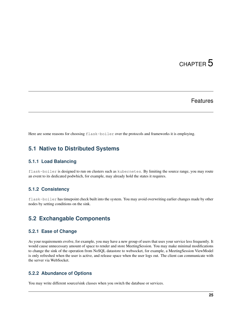## Features

<span id="page-28-0"></span>Here are some reasons for choosing  $f$ lask-boiler over the protocols and frameworks it is employing.

# <span id="page-28-1"></span>**5.1 Native to Distributed Systems**

#### **5.1.1 Load Balancing**

flask-boiler is designed to run on clusters such as kubernetes. By limiting the source range, you may route an event to its dedicated podwhich, for example, may already hold the states it requires.

#### **5.1.2 Consistency**

flask-boiler has timepoint check built into the system. You may avoid overwriting earlier changes made by other nodes by setting conditions on the sink.

## <span id="page-28-2"></span>**5.2 Exchangable Components**

#### **5.2.1 Ease of Change**

As your requirements evolve, for example, you may have a new group of users that uses your service less frequently. It would cause unnecessary amount of space to render and store MeetingSession. You may make minimal modifications to change the sink of the operation from NoSQL datastore to websocket, for example, a MeetingSession ViewModel is only refreshed when the user is active, and release space when the user logs out. The client can communicate with the server via WebSocket.

#### **5.2.2 Abundance of Options**

You may write different source/sink classes when you switch the database or services.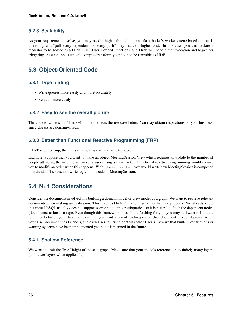#### **5.2.3 Scalability**

As your requirements evolve, you may need a higher throughput, and flask-boiler's worker-queue based on multithreading, and "pull every dependent for every push" may induce a higher cost. In this case, you can declare a mediator to be hosted as a Flink UDF (User Defined Function), and Flink will handle the invocation and logics for triggering. flask-boiler will compile/transform your code to be runnable as UDF.

# <span id="page-29-0"></span>**5.3 Object-Oriented Code**

#### **5.3.1 Type hinting**

- Write queries more easily and more accurately
- Refactor more easily

#### **5.3.2 Easy to see the overall picture**

The code to write with flask-boiler reflects the use case better. You may obtain inspirations on your business, since classes are domain-driven.

#### **5.3.3 Better than Functional Reactive Programming (FRP)**

If FRP is buttom-up, then flask-boiler is relatively top-down.

Example: suppose that you want to make an object MeetingSession View which requires an update to the number of people attending the meeting whenever a user changes their Ticket. Functional reactive programming would require you to modify an order when this happens. With  $flast{-}boiler$ , you would write how MeetingSession is composed of individual Tickets, and write logic on the side of MeetingSession.

# <span id="page-29-1"></span>**5.4 N+1 Considerations**

Consider the documents involved in a building a domain model or view model as a graph. We want to retrieve relevant documents when making an evaluation. This may lead to  $N+1$  problem if not handled properly. We already know that most NoSQL usually does not support server-side join, or subqueries, so it is natural to fetch the dependent nodes (documents) to local storage. Even though this framework does all the fetching for you, you may still want to limit the reference between your data. For example, you want to avoid fetching every User document in your database when your User document has Friend's, and each User in Friend contains other User's. Beware that built-in verifications or warning systems have been implemented yet, but it is planned in the future.

#### **5.4.1 Shallow Reference**

We want to limit the Tree Height of the said graph. Make sure that your models reference up to finitely many layers (and fewer layers when applicable).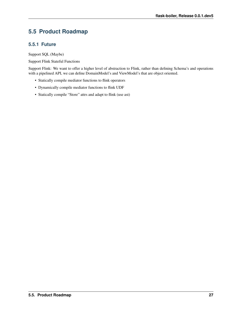# <span id="page-30-0"></span>**5.5 Product Roadmap**

#### **5.5.1 Future**

Support SQL (Maybe)

Support Flink Stateful Functions

Support Flink: We want to offer a higher level of abstraction to Flink, rather than defining Schema's and operations with a pipelined API, we can define DomainModel's and ViewModel's that are object oriented.

- Statically compile mediator functions to flink operators
- Dynamically compile mediator functions to flink UDF
- Statically compile "Store" attrs and adapt to flink (use ast)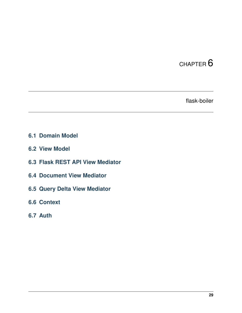flask-boiler

- <span id="page-32-1"></span><span id="page-32-0"></span>**6.1 Domain Model**
- <span id="page-32-2"></span>**6.2 View Model**
- <span id="page-32-3"></span>**6.3 Flask REST API View Mediator**
- <span id="page-32-4"></span>**6.4 Document View Mediator**
- <span id="page-32-5"></span>**6.5 Query Delta View Mediator**
- <span id="page-32-6"></span>**6.6 Context**
- <span id="page-32-7"></span>**6.7 Auth**